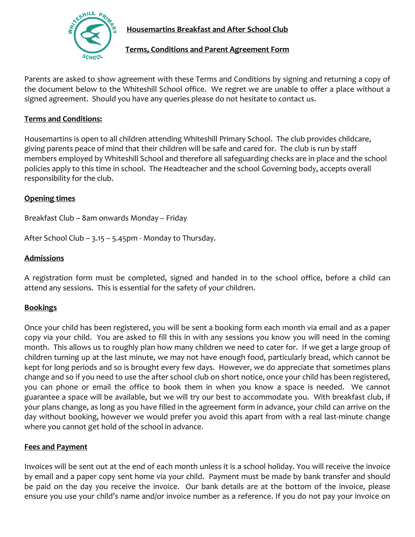

# **Housemartins Breakfast and After School Club**

## **Terms, Conditions and Parent Agreement Form**

Parents are asked to show agreement with these Terms and Conditions by signing and returning a copy of the document below to the Whiteshill School office. We regret we are unable to offer a place without a signed agreement. Should you have any queries please do not hesitate to contact us.

## **Terms and Conditions:**

Housemartins is open to all children attending Whiteshill Primary School. The club provides childcare, giving parents peace of mind that their children will be safe and cared for. The club is run by staff members employed by Whiteshill School and therefore all safeguarding checks are in place and the school policies apply to this time in school. The Headteacher and the school Governing body, accepts overall responsibility for the club.

#### **Opening times**

Breakfast Club – 8am onwards Monday – Friday

After School Club – 3.15 – 5.45pm - Monday to Thursday.

#### **Admissions**

A registration form must be completed, signed and handed in to the school office, before a child can attend any sessions. This is essential for the safety of your children.

## **Bookings**

Once your child has been registered, you will be sent a booking form each month via email and as a paper copy via your child. You are asked to fill this in with any sessions you know you will need in the coming month. This allows us to roughly plan how many children we need to cater for. If we get a large group of children turning up at the last minute, we may not have enough food, particularly bread, which cannot be kept for long periods and so is brought every few days. However, we do appreciate that sometimes plans change and so if you need to use the after school club on short notice, once your child has been registered, you can phone or email the office to book them in when you know a space is needed. We cannot guarantee a space will be available, but we will try our best to accommodate you. With breakfast club, if your plans change, as long as you have filled in the agreement form in advance, your child can arrive on the day without booking, however we would prefer you avoid this apart from with a real last-minute change where you cannot get hold of the school in advance.

#### **Fees and Payment**

Invoices will be sent out at the end of each month unless it is a school holiday. You will receive the invoice by email and a paper copy sent home via your child. Payment must be made by bank transfer and should be paid on the day you receive the invoice. Our bank details are at the bottom of the invoice, please ensure you use your child's name and/or invoice number as a reference. If you do not pay your invoice on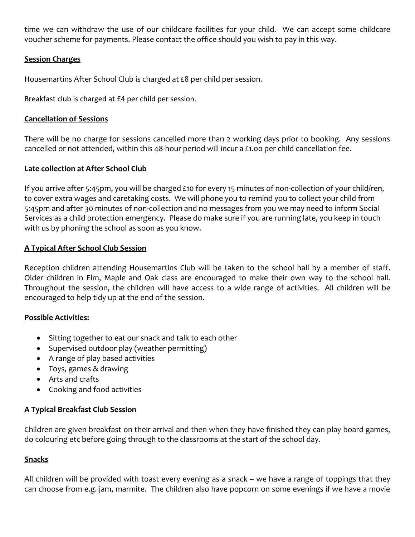time we can withdraw the use of our childcare facilities for your child. We can accept some childcare voucher scheme for payments. Please contact the office should you wish to pay in this way.

#### **Session Charges**

Housemartins After School Club is charged at £8 per child per session.

Breakfast club is charged at £4 per child per session.

### **Cancellation of Sessions**

There will be no charge for sessions cancelled more than 2 working days prior to booking. Any sessions cancelled or not attended, within this 48-hour period will incur a £1.00 per child cancellation fee.

#### **Late collection at After School Club**

If you arrive after 5:45pm, you will be charged £10 for every 15 minutes of non-collection of your child/ren, to cover extra wages and caretaking costs. We will phone you to remind you to collect your child from 5:45pm and after 30 minutes of non-collection and no messages from you we may need to inform Social Services as a child protection emergency. Please do make sure if you are running late, you keep in touch with us by phoning the school as soon as you know.

## **A Typical After School Club Session**

Reception children attending Housemartins Club will be taken to the school hall by a member of staff. Older children in Elm, Maple and Oak class are encouraged to make their own way to the school hall. Throughout the session, the children will have access to a wide range of activities. All children will be encouraged to help tidy up at the end of the session.

#### **Possible Activities:**

- Sitting together to eat our snack and talk to each other
- Supervised outdoor play (weather permitting)
- A range of play based activities
- Toys, games & drawing
- Arts and crafts
- Cooking and food activities

## **A Typical Breakfast Club Session**

Children are given breakfast on their arrival and then when they have finished they can play board games, do colouring etc before going through to the classrooms at the start of the school day.

## **Snacks**

All children will be provided with toast every evening as a snack – we have a range of toppings that they can choose from e.g. jam, marmite. The children also have popcorn on some evenings if we have a movie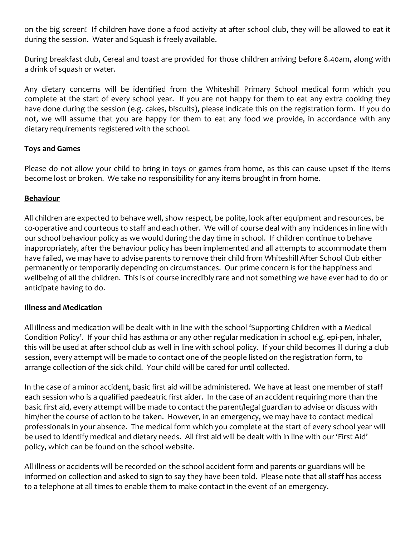on the big screen! If children have done a food activity at after school club, they will be allowed to eat it during the session. Water and Squash is freely available.

During breakfast club, Cereal and toast are provided for those children arriving before 8.40am, along with a drink of squash or water.

Any dietary concerns will be identified from the Whiteshill Primary School medical form which you complete at the start of every school year. If you are not happy for them to eat any extra cooking they have done during the session (e.g. cakes, biscuits), please indicate this on the registration form. If you do not, we will assume that you are happy for them to eat any food we provide, in accordance with any dietary requirements registered with the school.

## **Toys and Games**

Please do not allow your child to bring in toys or games from home, as this can cause upset if the items become lost or broken. We take no responsibility for any items brought in from home.

## **Behaviour**

All children are expected to behave well, show respect, be polite, look after equipment and resources, be co-operative and courteous to staff and each other. We will of course deal with any incidences in line with our school behaviour policy as we would during the day time in school. If children continue to behave inappropriately, after the behaviour policy has been implemented and all attempts to accommodate them have failed, we may have to advise parents to remove their child from Whiteshill After School Club either permanently or temporarily depending on circumstances. Our prime concern is for the happiness and wellbeing of all the children. This is of course incredibly rare and not something we have ever had to do or anticipate having to do.

#### **Illness and Medication**

All illness and medication will be dealt with in line with the school 'Supporting Children with a Medical Condition Policy'. If your child has asthma or any other regular medication in school e.g. epi-pen, inhaler, this will be used at after school club as well in line with school policy. If your child becomes ill during a club session, every attempt will be made to contact one of the people listed on the registration form, to arrange collection of the sick child. Your child will be cared for until collected.

In the case of a minor accident, basic first aid will be administered. We have at least one member of staff each session who is a qualified paedeatric first aider. In the case of an accident requiring more than the basic first aid, every attempt will be made to contact the parent/legal guardian to advise or discuss with him/her the course of action to be taken. However, in an emergency, we may have to contact medical professionals in your absence. The medical form which you complete at the start of every school year will be used to identify medical and dietary needs. All first aid will be dealt with in line with our 'First Aid' policy, which can be found on the school website.

All illness or accidents will be recorded on the school accident form and parents or guardians will be informed on collection and asked to sign to say they have been told. Please note that all staff has access to a telephone at all times to enable them to make contact in the event of an emergency.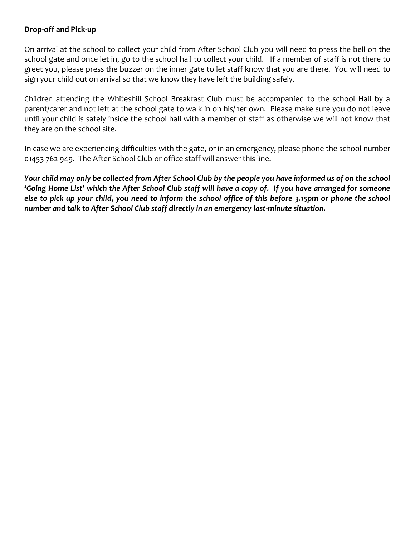## **Drop-off and Pick-up**

On arrival at the school to collect your child from After School Club you will need to press the bell on the school gate and once let in, go to the school hall to collect your child. If a member of staff is not there to greet you, please press the buzzer on the inner gate to let staff know that you are there. You will need to sign your child out on arrival so that we know they have left the building safely.

Children attending the Whiteshill School Breakfast Club must be accompanied to the school Hall by a parent/carer and not left at the school gate to walk in on his/her own. Please make sure you do not leave until your child is safely inside the school hall with a member of staff as otherwise we will not know that they are on the school site.

In case we are experiencing difficulties with the gate, or in an emergency, please phone the school number 01453 762 949. The After School Club or office staff will answer this line.

*Your child may only be collected from After School Club by the people you have informed us of on the school 'Going Home List' which the After School Club staff will have a copy of. If you have arranged for someone else to pick up your child, you need to inform the school office of this before 3.15pm or phone the school number and talk to After School Club staff directly in an emergency last-minute situation.*